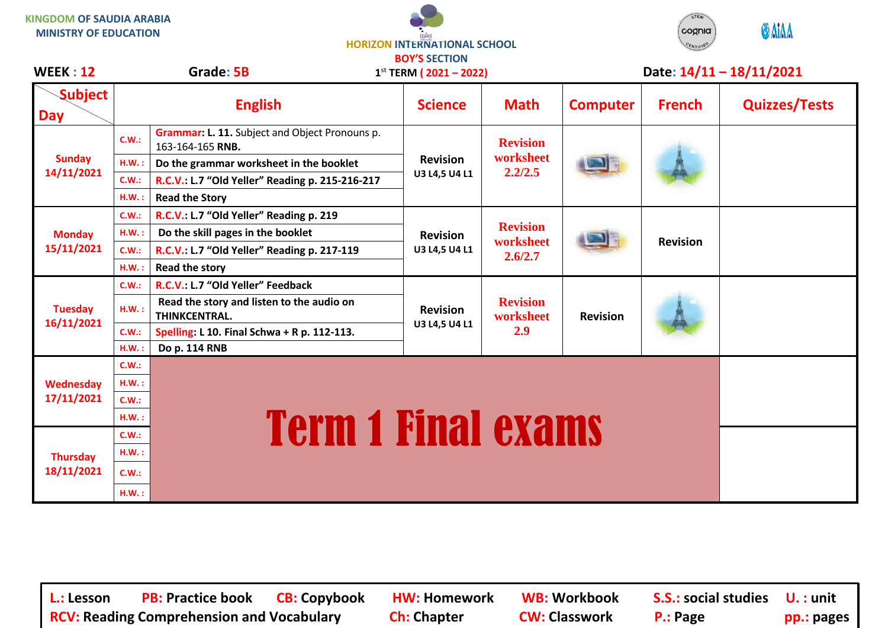**KINGDOM OF SAUDIA ARABIA MINISTRY OF EDUCATION**





**WEEK : 12 Grade: 5B Date: 14/11 – 18/11/2021**

| <b>WEEK : 12</b>              |          | Grade: 5B                                                          | $1^{st}$ TERM ( 2021 – 2022) |                                         |                 |                 | Date: 14/11 - 18/11/2021 |
|-------------------------------|----------|--------------------------------------------------------------------|------------------------------|-----------------------------------------|-----------------|-----------------|--------------------------|
| <b>Subject</b><br><b>Day</b>  |          | <b>English</b>                                                     | <b>Science</b>               | <b>Math</b>                             | <b>Computer</b> | <b>French</b>   | <b>Quizzes/Tests</b>     |
| <b>Sunday</b><br>14/11/2021   | C.W.:    | Grammar: L. 11. Subject and Object Pronouns p.<br>163-164-165 RNB. |                              | <b>Revision</b><br>worksheet<br>2.2/2.5 |                 |                 |                          |
|                               | H.W.:    | Do the grammar worksheet in the booklet                            | <b>Revision</b>              |                                         |                 |                 |                          |
|                               | C.W.:    | R.C.V.: L.7 "Old Yeller" Reading p. 215-216-217                    | U3 L4,5 U4 L1                |                                         |                 |                 |                          |
|                               | $H.W.$ : | <b>Read the Story</b>                                              |                              |                                         |                 |                 |                          |
| <b>Monday</b><br>15/11/2021   | C.W.:    | R.C.V.: L.7 "Old Yeller" Reading p. 219                            |                              | <b>Revision</b><br>worksheet<br>2.6/2.7 |                 | <b>Revision</b> |                          |
|                               | H.W.:    | Do the skill pages in the booklet                                  | <b>Revision</b>              |                                         |                 |                 |                          |
|                               | C.W.:    | R.C.V.: L.7 "Old Yeller" Reading p. 217-119                        | U3 L4,5 U4 L1                |                                         |                 |                 |                          |
|                               | $H.W.$ : | <b>Read the story</b>                                              |                              |                                         |                 |                 |                          |
| <b>Tuesday</b><br>16/11/2021  | C.W.:    | R.C.V.: L.7 "Old Yeller" Feedback                                  |                              | <b>Revision</b><br>worksheet<br>2.9     | <b>Revision</b> |                 |                          |
|                               | H.W.:    | Read the story and listen to the audio on<br><b>THINKCENTRAL.</b>  | <b>Revision</b>              |                                         |                 |                 |                          |
|                               | C.W.:    | Spelling: L 10. Final Schwa + R p. 112-113.                        | U3 L4,5 U4 L1                |                                         |                 |                 |                          |
|                               | H.W.     | Do p. 114 RNB                                                      |                              |                                         |                 |                 |                          |
| Wednesday<br>17/11/2021       | C.W.:    |                                                                    |                              |                                         |                 |                 |                          |
|                               | H.W.:    |                                                                    |                              |                                         |                 |                 |                          |
|                               | C.W.:    |                                                                    |                              |                                         |                 |                 |                          |
|                               | H.W.:    |                                                                    |                              |                                         |                 |                 |                          |
| <b>Thursday</b><br>18/11/2021 | C.W.:    | <b>Term 1 Final exams</b>                                          |                              |                                         |                 |                 |                          |
|                               | H.W.:    |                                                                    |                              |                                         |                 |                 |                          |
|                               | C.W.:    |                                                                    |                              |                                         |                 |                 |                          |
|                               | H.W.:    |                                                                    |                              |                                         |                 |                 |                          |

**L.: Lesson PB: Practice book CB: Copybook HW: Homework WB: Workbook S.S.: social studies U. : unit RCV: Reading Comprehension and Vocabulary and Ch: Chapter CW: Classwork P.: Page pp.: pages**